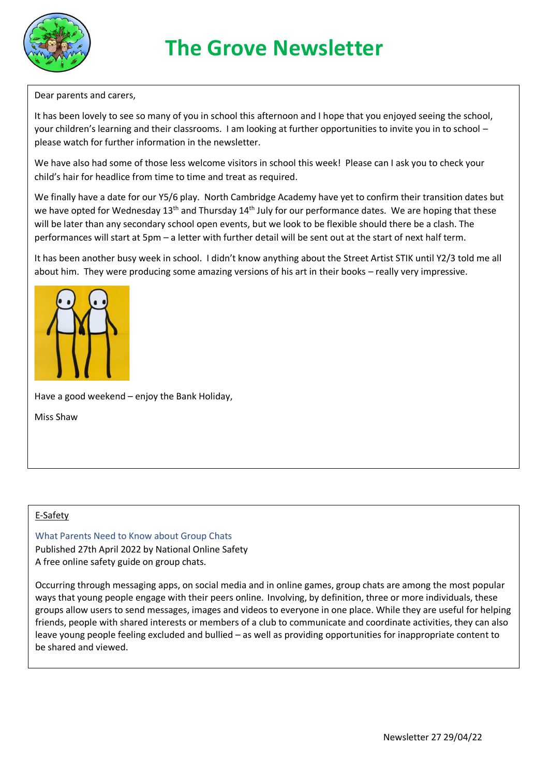

# **The Grove Newsletter**

Dear parents and carers,

It has been lovely to see so many of you in school this afternoon and I hope that you enjoyed seeing the school, your children's learning and their classrooms. I am looking at further opportunities to invite you in to school – please watch for further information in the newsletter.

We have also had some of those less welcome visitors in school this week! Please can I ask you to check your child's hair for headlice from time to time and treat as required.

We finally have a date for our Y5/6 play. North Cambridge Academy have yet to confirm their transition dates but we have opted for Wednesday 13<sup>th</sup> and Thursday 14<sup>th</sup> July for our performance dates. We are hoping that these will be later than any secondary school open events, but we look to be flexible should there be a clash. The performances will start at 5pm – a letter with further detail will be sent out at the start of next half term.

It has been another busy week in school. I didn't know anything about the Street Artist STIK until Y2/3 told me all about him. They were producing some amazing versions of his art in their books – really very impressive.



Have a good weekend – enjoy the Bank Holiday,

Miss Shaw

#### E-Safety

What Parents Need to Know about Group Chats Published 27th April 2022 by National Online Safety A free online safety guide on group chats.

Occurring through messaging apps, on social media and in online games, group chats are among the most popular ways that young people engage with their peers online. Involving, by definition, three or more individuals, these groups allow users to send messages, images and videos to everyone in one place. While they are useful for helping friends, people with shared interests or members of a club to communicate and coordinate activities, they can also leave young people feeling excluded and bullied – as well as providing opportunities for inappropriate content to be shared and viewed.

In the guideline guideline, you like  $y$  and  $y$  as bully indicated risks such as bully indicated  $y$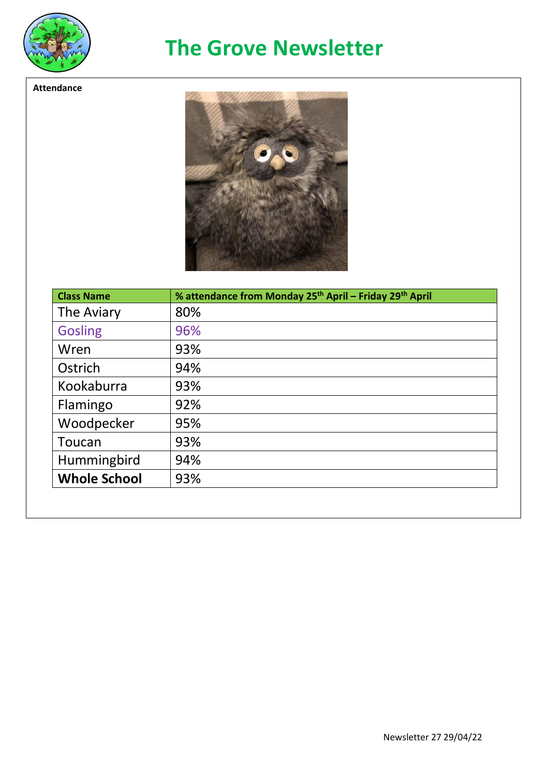

**Attendance**

## **The Grove Newsletter**



| 80% |
|-----|
| 96% |
| 93% |
| 94% |
| 93% |
| 92% |
| 95% |
| 93% |
| 94% |
| 93% |
|     |